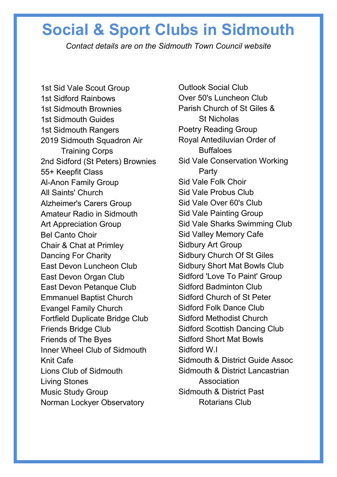## **Social & Sport Clubs in Sidmouth**

*Contact details are on the Sidmouth Town Council website*

1st Sid Vale Scout Group [1st Sidford Rainbows](https://www.sidmouth.gov.uk/community-services/sport-leisure/social-sport-clubs/718-1st-sidford-rainbows) [1st Sidmouth Brownies](https://www.sidmouth.gov.uk/community-services/sport-leisure/social-sport-clubs/98-1st-sidmouth-brownies) [1st Sidmouth Guides](https://www.sidmouth.gov.uk/community-services/sport-leisure/social-sport-clubs/99-1st-sidmouth-guides) [1st Sidmouth Rangers](https://www.sidmouth.gov.uk/community-services/sport-leisure/social-sport-clubs/717-1st-sidmouth-rangers) [2019 Sidmouth Squadron Air](https://www.sidmouth.gov.uk/community-services/sport-leisure/social-sport-clubs/100-2019-sidmouth-squadron-air-training-corps)  [Training Corps](https://www.sidmouth.gov.uk/community-services/sport-leisure/social-sport-clubs/100-2019-sidmouth-squadron-air-training-corps) [2nd Sidford \(St Peters\) Brownies](https://www.sidmouth.gov.uk/community-services/sport-leisure/social-sport-clubs/101-2nd-sidford-st-peters-brownies) [55+ Keepfit Class](https://www.sidmouth.gov.uk/community-services/sport-leisure/social-sport-clubs/103-55-keepfit-class) [Al-Anon Family Group](https://www.sidmouth.gov.uk/community-services/sport-leisure/social-sport-clubs/104-alanon-family-group) [All Saints' Church](https://www.sidmouth.gov.uk/community-services/sport-leisure/social-sport-clubs/105-all-saints-church-sunday-services)  [Alzheimer's Carers Group](https://www.sidmouth.gov.uk/community-services/sport-leisure/social-sport-clubs/106-alzheimer-s-carers-group) [Amateur Radio in Sidmouth](https://www.sidmouth.gov.uk/community-services/sport-leisure/social-sport-clubs/107-amateur-radio-in-sidmouth) [Art Appreciation Group](https://www.sidmouth.gov.uk/community-services/sport-leisure/social-sport-clubs/109-art-appreciation-group) [Bel Canto Choir](https://www.sidmouth.gov.uk/community-services/sport-leisure/social-sport-clubs/110-bel-canto-choir) [Chair & Chat at Primley](https://www.sidmouth.gov.uk/community-services/sport-leisure/social-sport-clubs/112-chair-chat-at-primley) [Dancing For Charity](https://www.sidmouth.gov.uk/community-services/sport-leisure/social-sport-clubs/114-dancing-for-charity) [East Devon Luncheon Club](https://www.sidmouth.gov.uk/community-services/sport-leisure/social-sport-clubs/319-east-devon-luncheon-club) [East Devon Organ Club](https://www.sidmouth.gov.uk/community-services/sport-leisure/social-sport-clubs/115-east-devon-organ-club) [East Devon Petanque Club](https://www.sidmouth.gov.uk/community-services/sport-leisure/social-sport-clubs/116-east-devon-petanque-club) [Emmanuel Baptist Church](https://www.sidmouth.gov.uk/community-services/sport-leisure/social-sport-clubs/117-emmanuel-baptist-church-sunday-services) [Evangel Family Church](https://www.sidmouth.gov.uk/community-services/sport-leisure/social-sport-clubs/121-evangel-the-good-news-family-church-sunday-service)  [Fortfield Duplicate Bridge Club](https://www.sidmouth.gov.uk/community-services/sport-leisure/social-sport-clubs/122-fortfield-duplicate-bridge-club) [Friends Bridge Club](https://www.sidmouth.gov.uk/community-services/sport-leisure/social-sport-clubs/123-friends-bridge-club) Friends of The Byes [Inner Wheel Club of Sidmouth](https://www.sidmouth.gov.uk/community-services/sport-leisure/social-sport-clubs/124-inner-wheel-club-of-sidmouth) [Knit Cafe](https://www.sidmouth.gov.uk/community-services/sport-leisure/social-sport-clubs/125-knit-cafe) [Lions Club of Sidmouth](https://www.sidmouth.gov.uk/community-services/sport-leisure/social-sport-clubs/127-lions-club-of-sidmouth) [Living Stones](https://www.sidmouth.gov.uk/community-services/sport-leisure/social-sport-clubs/128-living-stones) [Music Study Group](https://www.sidmouth.gov.uk/community-services/sport-leisure/social-sport-clubs/320-music-study-group) Norman Lockyer Observatory

[Outlook Social Club](https://www.sidmouth.gov.uk/community-services/sport-leisure/social-sport-clubs/129-outlook-social-club) [Over 50's Luncheon Club](https://www.sidmouth.gov.uk/community-services/sport-leisure/social-sport-clubs/130-over-50-s-luncheon-club) [Parish Church of St Giles &](https://www.sidmouth.gov.uk/community-services/sport-leisure/social-sport-clubs/131-parish-church-of-st-giles-st-nicholas-sunday-services)  St [Nicholas](https://www.sidmouth.gov.uk/community-services/sport-leisure/social-sport-clubs/131-parish-church-of-st-giles-st-nicholas-sunday-services) [Poetry Reading Group](https://www.sidmouth.gov.uk/community-services/sport-leisure/social-sport-clubs/132-poetry-reading-group) [Royal Antediluvian Order of](https://www.sidmouth.gov.uk/community-services/sport-leisure/social-sport-clubs/323-royal-antediluvian-order-of-buffaloes)  **[Buffaloes](https://www.sidmouth.gov.uk/community-services/sport-leisure/social-sport-clubs/323-royal-antediluvian-order-of-buffaloes)** [Sid Vale Conservation Working](https://www.sidmouth.gov.uk/community-services/sport-leisure/social-sport-clubs/139-sid-vale-conservation-working-party)  [Party](https://www.sidmouth.gov.uk/community-services/sport-leisure/social-sport-clubs/139-sid-vale-conservation-working-party) [Sid Vale Folk Choir](https://www.sidmouth.gov.uk/community-services/sport-leisure/social-sport-clubs/140-sid-vale-folk-choir) [Sid Vale Probus Club](https://www.sidmouth.gov.uk/community-services/sport-leisure/social-sport-clubs/141-sid-vale-ladies-probus-club) [Sid Vale Over 60's Club](https://www.sidmouth.gov.uk/community-services/sport-leisure/social-sport-clubs/142-sid-vale-over-60-s-club) [Sid Vale Painting Group](https://www.sidmouth.gov.uk/community-services/sport-leisure/social-sport-clubs/143-sid-vale-painting-group) [Sid Vale Sharks Swimming Club](https://www.sidmouth.gov.uk/community-services/sport-leisure/social-sport-clubs/144-sid-vale-sharks-swimming-club) [Sid Valley Memory Cafe](https://www.sidmouth.gov.uk/community-services/sport-leisure/social-sport-clubs/145-sid-valley-memory-cafe) [Sidbury Art Group](https://www.sidmouth.gov.uk/community-services/sport-leisure/social-sport-clubs/325-sidbury-art-group) [Sidbury Church Of St Giles](https://www.sidmouth.gov.uk/community-services/sport-leisure/social-sport-clubs/146-sidbury-church-of-st-giles-c-of-e-sunday-services)  [Sidbury Short Mat Bowls Club](https://www.sidmouth.gov.uk/community-services/sport-leisure/social-sport-clubs/147-sidbury-short-mat-bowls-club) [Sidford 'Love To Paint' Group](https://www.sidmouth.gov.uk/community-services/sport-leisure/social-sport-clubs/149-sidford-love-to-paint-group) [Sidford Badminton Club](https://www.sidmouth.gov.uk/community-services/sport-leisure/social-sport-clubs/148-sidford-badminton-club) [Sidford Church of St Peter](https://www.sidmouth.gov.uk/community-services/sport-leisure/social-sport-clubs/150-sidford-church-of-st-peter-c-of-e-sunday-service)  [Sidford Folk Dance Club](https://www.sidmouth.gov.uk/community-services/sport-leisure/social-sport-clubs/151-sidford-folk-dance-club) [Sidford Methodist Church](https://www.sidmouth.gov.uk/community-services/sport-leisure/social-sport-clubs/152-sidford-methodist-church-sunday-service)  [Sidford Scottish Dancing Club](https://www.sidmouth.gov.uk/community-services/sport-leisure/social-sport-clubs/155-sidford-scottish-dancing-club) [Sidford Short Mat Bowls](https://www.sidmouth.gov.uk/community-services/sport-leisure/social-sport-clubs/156-sidford-short-mat-bowls) [Sidford](https://www.sidmouth.gov.uk/community-services/sport-leisure/social-sport-clubs/157-sidford-w-i) W.I [Sidmouth & District Guide Assoc](https://www.sidmouth.gov.uk/community-services/sport-leisure/social-sport-clubs/326-sidmouth-district-guide-association) [Sidmouth & District Lancastrian](https://www.sidmouth.gov.uk/community-services/sport-leisure/social-sport-clubs/327-sidmouth-district-lancastrian-association)  [Association](https://www.sidmouth.gov.uk/community-services/sport-leisure/social-sport-clubs/327-sidmouth-district-lancastrian-association) [Sidmouth & District Past](https://www.sidmouth.gov.uk/community-services/sport-leisure/social-sport-clubs/158-sidmouth-district-past-rotarians-club)  [Rotarians Club](https://www.sidmouth.gov.uk/community-services/sport-leisure/social-sport-clubs/158-sidmouth-district-past-rotarians-club)